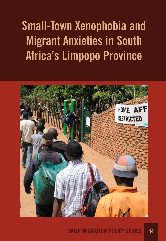# **Small-Town Xenophobia and Migrant Anxieties in South Africa's Limpopo Province**

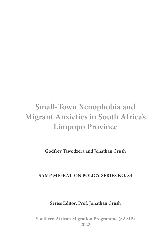# **Small-Town Xenophobia and Migrant Anxieties in South Africa's Limpopo Province**

**Godfrey Tawodzera and Jonathan Crush**

## **SAMP MIGRATION POLICY SERIES NO. 84**

**Series Editor: Prof. Jonathan Crush**

**Southern African Migration Programme (SAMP) 2022**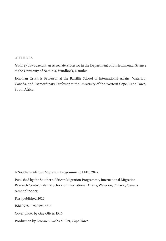#### **AUTHORS**

Godfrey Tawodzera is an Associate Professor in the Department of Environmental Science at the University of Namibia, Windhoek, Namibia.

Jonathan Crush is Professor at the Balsillie School of International Afairs, Waterloo, Canada, and Extraordinary Professor at the University of the Western Cape, Cape Town, South Africa.

© Southern African Migration Programme (SAMP) 2022

Published by the Southern African Migration Programme, International Migration Research Centre, Balsillie School of International Afairs, Waterloo, Ontario, Canada samponline.org

First published 2022

ISBN 978-1-920596-48-4

Cover photo by Guy Oliver, IRIN

Production by Bronwen Dachs Muller, Cape Town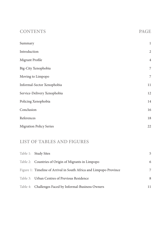| <b>CONTENTS</b>                | <b>PAGE</b>    |
|--------------------------------|----------------|
| Summary                        | $\,1$          |
| Introduction                   | $\overline{c}$ |
| Migrant Profile                | $\overline{4}$ |
| Big-City Xenophobia            | 7              |
| Moving to Limpopo              | 7              |
| Informal-Sector Xenophobia     | $11\,$         |
| Service-Delivery Xenophobia    | 12             |
| Policing Xenophobia            |                |
| Conclusion                     | 16             |
| References                     | 18             |
| <b>Migration Policy Series</b> | 22             |

# **LIST OF TABLES AND FIGURES**

| Table 1: Study Sites                                               | 5 |
|--------------------------------------------------------------------|---|
| Table 2: Countries of Origin of Migrants in Limpopo                | 6 |
| Figure 1: Timeline of Arrival in South Africa and Limpopo Province | 7 |
| Table 3: Urban Centres of Previous Residence                       | 8 |
| Table 4: Challenges Faced by Informal-Business Owners              |   |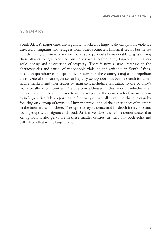#### **SUMMARY**

South Africa's major cities are regularly wracked by large-scale xenophobic violence directed at migrants and refugees from other countries. Informal-sector businesses and their migrant owners and employees are particularly vulnerable targets during these attacks. Migrant-owned businesses are also frequently targeted in smallerscale looting and destruction of property. There is now a large literature on the characteristics and causes of xenophobic violence and attitudes in South Africa, based on quantitative and qualitative research in the country's major metropolitan areas. One of the consequences of big-city xenophobia has been a search for alternative markets and safer spaces by migrants, including relocating to the country's many smaller urban centres. The question addressed in this report is whether they are welcomed in these cities and towns or subject to the same kinds of victimization as in large cities. This report is the first to systematically examine this question by focusing on a group of towns in Limpopo province and the experiences of migrants in the informal sector there. Through survey evidence and in-depth interviews and focus groups with migrant and South African vendors, the report demonstrates that xenophobia is also pervasive in these smaller centres, in ways that both echo and differ from that in the large cities.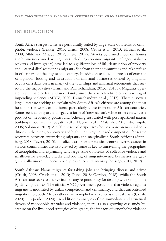#### **INTRODUCTION**

South Africa's largest cities are periodically roiled by large-scale outbreaks of xenophobic violence (Bekker, 2015; Crush, 2008; Crush et al., 2013; Hassim et al., 2008; Mlilo and Misago, 2019; Pheto, 2019). Attacks by armed mobs on homes and businesses owned by migrants (including economic migrants, refugees, asylumseekers and immigrants) have led to significant loss of life, destruction of property and internal displacement as migrants flee from their communities and take refuge in other parts of the city or the country. In addition to these outbreaks of extreme xenophobia, looting and destruction of informal businesses owned by migrants occurs on a daily basis in many of the townships and informal settlements that surround the major cities (Crush and Ramachandran, 2015a, 2015b). Migrants operate in a climate of fear and uncertainty since there is often little or no warning of impending violence (MRW, 2020; Ramachandran et al., 2017). There is now a large literature seeking to explain why South Africa's citizens are among the most hostile in the world to outsiders, particularly those from other African countries. Some see it as an apartheid legacy, a form of 'new racism', while others view it as a product of the identity politics and 'othering' associated with post-apartheid nation building (Fouchard and Segatti, 2015; Hayem, 2013; Matsinhe, 2016; Nyamnjoh, 2006; Solomon, 2019). A different set of perspectives focuses more on material conditions in the cities, on poverty and high unemployment and competition for scarce resources between enterprising migrants and marginalized South Africans (Steinberg, 2018; Tevera, 2013). Localized struggles for political control over resources in various communities are also viewed by some as key to unravelling the geographies of xenophobia and explaining why large-scale outbreaks of collective violence and smaller-scale everyday attacks and looting of migrant-owned businesses are geographically uneven in occurrence, prevalence and intensity (Misago, 2017, 2019).

South Africans blame migrants for taking jobs and bringing disease and crime (Crush, 2008; Crush et al., 2013; Dube, 2018; Gordon, 2018), while the South African state seeks to absolve itself of any responsibility for dealing with xenophobia by denying it exists. The official ANC government position is that violence against migrants is motivated by unfair competition and criminality, and that uncontrolled migration to South Africa rather than xenophobic violence is the real crisis (Crush, 2020; Hiropoulos, 2020). In addition to analyses of the immediate and structural drivers of xenophobic attitudes and violence, there is also a growing case study literature on the livelihood strategies of migrants, the impacts of xenophobic violence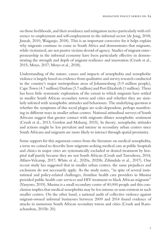on those livelihoods, and their avoidance and mitigation tactics particularly with reference to employment and self-employment in the informal sector (de Jong, 2018; Jinnah, 2010; Waiganjo, 2018). This is an important corrective for it helps explain why migrants continue to come to South Africa and demonstrates that migrants, while victimized, are not passive victims devoid of agency. Studies of migrant entrepreneurship in the informal economy have been particularly effective in demonstrating the strength and depth of migrant resilience and innovation (Crush et al., 2015; Moyo, 2017; Moyo et al., 2018).

Understanding of the nature, causes and impacts of xenophobia and xenophobic violence is largely based on evidence from qualitative and survey research conducted in the country's major metropolitan areas of Johannesburg (5.9 million people), Cape Town (4.7 million) Durban (3.7 million) and Port Elizabeth (1 million). There has been little systematic exploration of the extent to which migrants have settled in smaller South African secondary towns and cities and whether they are similarly infested with xenophobic attitudes and behaviours. The underlying question is whether the symptoms of this social plague are scale-dependent, perhaps manifesting in different ways in smaller urban centres. National attitudinal surveys of South Africans suggest that greater contact with migrants dilutes xenophobic sentiment (Crush et al., 2013; Gordon and Maharaj, 2015). In theory, xenophobic attitudes and actions might be less prevalent and intense in secondary urban centres since South Africans and migrants are more likely to interact through spatial proximity.

Some support for this argument comes from the literature on medical xenophobia; a term we coined to describe how migrants seeking medical care at public hospitals and clinics in major cities are systematically excluded or denied treatment by hospital staff purely because they are not South African (Crush and Tawodzera, 2014; Alfaro-Velcamp, 2017; White et al., 2020a, 2020b; Zihindula et al., 2017). One recent study has suggested that in smaller urban centres, the same prejudices and exclusions do not necessarily apply. As the study notes, "in spite of several institutional and policy-related challenges, frontline health care providers in Musina provided public health care services and HIV treatment to black African migrants" (Vanyoro, 2019). Musina is a small secondary centre of 40,000 people and this conclusion implies that medical xenophobia may be less intense or non-existent in such smaller centres. On the other hand, a national audit of collective violence against migrant-owned informal businesses between 2009 and 2014 found evidence of attacks in numerous South African secondary towns and cities (Crush and Ramachandran, 2015b: 20).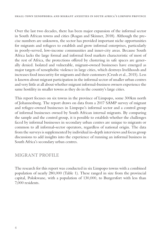Over the last two decades, there has been major expansion of the informal sector in South African towns and cities (Rogan and Skinner, 2018). Although the precise numbers are unknown, the sector has provided important niche opportunities for migrants and refugees to establish and grow informal enterprises, particularly in poorly-served, low-income communities and inner-city areas. Because South Africa lacks the large formal and informal food markets characteristic of most of the rest of Africa, the protections offered by clustering in safe spaces are generally denied. Isolated and vulnerable, migrant-owned businesses have emerged as major targets of xenophobic violence in large cities, which destroys livelihoods and increases food insecurity for migrants and their customers (Crush et al., 2015). Less is known about migrant participation in the informal sector of smaller urban centres and very little at all about whether migrant informal-business owners experience the same hostility in smaller towns as they do in the country's large cities.

This report focuses on six towns in the province of Limpopo, some 300km north of Johannesburg. The report draws on data from a 2017 SAMP survey of migrant and refugee-owned businesses in Limpopo's informal sector and a control group of informal businesses owned by South African internal migrants. By comparing the sample and the control group, it is possible to establish whether the challenges faced by informal businesses in secondary urban centres are unique to migrants or common to all informal-sector operators, regardless of national origin. The data from the surveys is supplemented by individual in-depth interviews and focus group discussions to add insights into the experience of running an informal business in South Africa's secondary urban centres.

#### **MIGRANT PROFILE**

The research for this report was conducted in six Limpopo towns with a combined population of nearly 280,000 (Table 1). These ranged in size from the provincial capital, Polokwane, with a population of 130,000, to Burgersfort with less than 7,000 residents.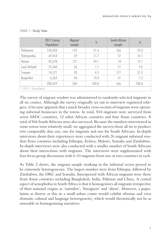|                  | 2011 Census<br>Population* | <b>Migrant</b><br>sample | $\frac{0}{0}$ | South African<br>sample | $\frac{0}{0}$ |
|------------------|----------------------------|--------------------------|---------------|-------------------------|---------------|
| Polokwane        | 130,028                    | 159                      | 31.6          | 166                     | 29.3          |
| Thohoyandou      | 69,453                     | 59                       | 11.7          | 57                      | 10.1          |
| Musina           | 42,678                     | 121                      | 24.1          | 74                      | 13.1          |
| Louis Trichardt  | 25,360                     | 36                       | 7.1           | 51                      | 9.0           |
| Tzaneen          | 14,571                     | 33                       | 6.5           | 177                     | 31.3          |
| Burgersfort      | 6,369                      | 96                       | 19.0          | 41                      | 7.2           |
|                  | 288,459                    | 504                      | 100.0         | 566                     | 100.0         |
| *2011 Population |                            |                          |               |                         |               |

#### TABLE 1: Study Sites

The survey of migrant vendors was administered to randomly-selected migrants in all six centres. Although the survey originally set out to interview registered refugees, it became apparent that a much broader cross-section of migrants were operating informal businesses in the towns. In total, 504 migrants were surveyed from seven SADC countries, 12 other African countries and four Asian countries. A total of 566 South Africans were also surveyed. Because the numbers interviewed in some towns were relatively small, we aggregated the surveys from all six to produce two comparable data sets, one for migrants and one for South Africans. In-depth interviews about their experiences were conducted with 26 migrant informal vendors from countries including Ethiopia, Eritrea, Malawi, Somalia and Zimbabwe. In-depth interviews were also conducted with a smaller number of South Africans about their interactions with migrants. The interviews were supplemented with four focus group discussions with 6-10 migrants from one or two countries in each.

As Table 2 shows, the migrant sample working in the informal sector proved to be extremely heterogeneous. The largest number were from Ethiopia, followed by Zimbabwe, the DRC and Somalia. Interspersed with African migrants were those from Asian countries including Bangladesh, India, Pakistan and China. A central aspect of xenophobia in South Africa is that it homogenizes all migrants irrespective of their national origins as 'outsiders', 'foreigners' and 'aliens'. However, a population as diverse as this in a small urban centre would exhibit obvious and even dramatic cultural and language heterogeneity, which would theoretically not be as amenable to homogenizing narratives.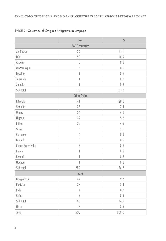|                       | No.                                              | $\%$            |  |  |
|-----------------------|--------------------------------------------------|-----------------|--|--|
| <b>SADC</b> countries |                                                  |                 |  |  |
| Zimbabwe              | 56                                               | 11.1            |  |  |
| <b>DRC</b>            | 55                                               |                 |  |  |
| Angola                | $\sqrt{3}$                                       | 0.6             |  |  |
| Mozambique            | 3                                                | 0.6             |  |  |
| Lesotho               | $\begin{array}{c} \mathbf{1} \end{array}$<br>0.2 |                 |  |  |
| Tanzania              | $\overline{\phantom{a}}$                         | 0.2             |  |  |
| Zambia                | $\overline{1}$<br>0.2                            |                 |  |  |
| Sub-total             | 120                                              | 23.8            |  |  |
| <b>Other Africa</b>   |                                                  |                 |  |  |
| Ethiopia              | 141                                              | 28.0            |  |  |
| Somalia               | 37                                               | 7.4             |  |  |
| Ghana                 | 34                                               | 6.8             |  |  |
| Nigeria               | 29                                               | 5.8             |  |  |
| Eritrea               | 23                                               | 4.6             |  |  |
| Sudan                 | 5                                                | $\mathcal{V}$ . |  |  |
| Cameroon              | $\overline{4}$                                   | 0.8             |  |  |
| Burundi               | 3                                                | 0.6             |  |  |
| Congo Brazzaville     | 3                                                | 0.6             |  |  |
| Kenya                 | $\begin{array}{c} \end{array}$                   | 0.2             |  |  |
| Rwanda                | $\begin{array}{c} \mathbf{1} \end{array}$        | 0.2             |  |  |
| Uganda                | $\overline{1}$                                   | 0.2             |  |  |
| Sub-total             | 282                                              | 56.2            |  |  |
| Asia                  |                                                  |                 |  |  |
| Bangladesh            | 49                                               | 9.7             |  |  |
| Pakistan              | 5.4<br>27                                        |                 |  |  |
| India                 | $\overline{4}$                                   | $0.8\,$         |  |  |
| China                 | 3                                                | 0.6             |  |  |
| Sub-total             | 83                                               | 16.5            |  |  |
| Other                 | 18                                               | 3.5             |  |  |
| Total                 | 503                                              | 100.0           |  |  |

#### TABLE 2: Countries of Origin of Migrants in Limpopo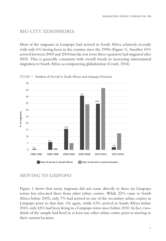#### **BIG-CITY XENOPHOBIA**

Most of the migrants in Limpopo had arrived in South Africa relatively recently with only 6% having been in the country since the 1990s (Figure 1). Another 16% arrived between 2000 and 2004 but the rest (over three-quarters) had migrated after 2005. This is generally consistent with overall trends in increasing international migration to South Africa accompanying globalization (Crush, 2014).



FIGURE 1: Timeline of Arrival in South Africa and Limpopo Province

#### **MOVING TO LIMPOPO**

Figure 1 shows that many migrants did not come directly to these six Limpopo towns but relocated there from other urban centres. While 22% came to South Africa before 2005, only 7% had arrived in one of the secondary urban centres in Limpopo prior to that date. Or again, while 63% arrived in South Africa before 2010, only 42% had been living in a Limpopo town since before 2010. In fact, twothirds of the sample had lived in at least one other urban centre prior to moving to their current location.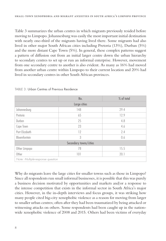Table 3 summarizes the urban centres in which migrants previously resided before moving to Limpopo. Johannesburg was easily the most important initial destination with nearly one-third of the migrants having lived there. Some migrants had also lived in other major South African cities including Pretoria (13%), Durban (5%) and the more distant Cape Town (5%). In general, these complex patterns suggest a pattern of diffusion out from an initial larger centre down the urban hierarchy to secondary centres to set up or run an informal enterprise. However, movement from one secondary centre to another is also evident. As many as 16% had moved from another urban centre within Limpopo to their current location and 20% had lived in secondary centres in other South African provinces.

|                                  | No. | % of total |  |  |
|----------------------------------|-----|------------|--|--|
| Large cities                     |     |            |  |  |
| Johannesburg                     | 148 | 29.4       |  |  |
| Pretoria                         | 65  | 12.9       |  |  |
| Durban                           | 25  | 4.8        |  |  |
| Cape Town                        | 23  | 4.6        |  |  |
| Port Elizabeth                   | 12  | 2.4        |  |  |
| Bloemfontein                     | 3   | 0.6        |  |  |
| Secondary towns/cities           |     |            |  |  |
| Other Limpopo                    | 78  | 15.5       |  |  |
| Other                            | 101 | 20.1       |  |  |
| Note: Multiple-response question |     |            |  |  |

TABLE 3: Urban Centres of Previous Residence

Why do migrants leave the large cities for smaller towns such as those in Limpopo? Since all respondents run small informal businesses, it is possible that this was purely a business decision motivated by opportunities and markets and/or a response to the intense competition that exists in the informal sector in South Africa's major cities. However, in the in-depth interviews and focus groups, it was striking how many people cited big-city xenophobic violence as a reason for moving from larger to smaller urban centres; often after they had been traumatized by being attacked or witnessing attacks on others. Some respondents had been caught up in the nationwide xenophobic violence of 2008 and 2015. Others had been victims of everyday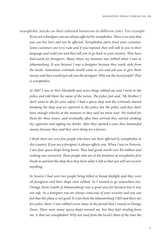xenophobic attacks on their informal businesses in different cities. For example:

If you are a foreigner you are always affected by xenophobia. There is no way that *you can live here and not be a*f*ected. Xenophobia starts from your customer. Some customers are very rude and if you respond, they will talk to you in their*  language and scold you and then tell you to go back to your country. They have *bad words for foreigners. Many times, my business was robbed when I was in Johannesburg. It was because I was a foreigner because they rarely stole from the locals. Sometimes criminals would come to you and ask you to give them money and they would just ask you the foreigner. Why not the local people?* T*at is xenophobia.*

*In 2007 I was in Port Elizabeth and seven thugs robbed me and I went to the police and told them the name of the tsotsis. The police just said, 'My brother, I don't want to die for your safety.' I had a spaza shop and the criminals started breaking the shop and we reported to the police but the police said they don't have enough vehicles at the moment so they said we must wait. We waited for them for three hours, and eventually a*f*er they arrived they started smoking my cigarettes and sipping my drinks. A*f*er they opened a case, they demanded money because they said they were doing me a favour.*

*I think there are very few people who have not been a*f*ected by xenophobia in this country. If you are a foreigner, it always a*f*ects you. When I was in Pretoria,*  I saw four spaza shops being burnt. They had goods worth over R4-million and *nothing was recovered.* T*ese people who are at the forefront of xenophobia* f*rst break in and loot the shop then they burn what is le*f *so that you will not recover anything.*

*In Soweto I had seen two people being killed in broad daylight and they were all foreigners and their shops were robbed. So I wanted to go somewhere else. Orange Farm (south of Johannesburg) was a good area for business but it was not safe. As a foreigner you are always conscious of your security and you can feel that this place is not good. It is far from the Johannesburg CBD and there are few police there. I was robbed seven times in the period that I stayed in Orange*  Farm. There were many spaza shops around me, but they kept stealing from *me. Is that not xenophobia? Why not steal from the locals? Most of the time the*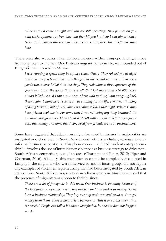robbers would come at night and you are still operating. They pounce on you *with sticks, spanners or iron bars and they hit you hard. So I was almost killed twice and I thought this is enough. Let me leave this place. Then I left and came here.*

There were also accounts of xenophobic violence within Limpopo forcing a move from one town to another. One Eritrean migrant, for example, was hounded out of Burgersfort and moved to Musina:

*I was running a spaza shop in a place called Quete. They robbed me at night and stole my goods and burnt the things that they could not carry. There were goods worth over R60,000 in the shop.* T*ey stole almost three-quarters of the goods and burnt the goods that were le*f*. So I lost more than R60 000.* T*ey almost killed me and I ran away. I came here with nothing. I am not going back there again. I came here because I was running for my life. I was not thinking of doing business, but of surviving. I was almost killed that night. Where I came here, friends took me in. For some time I was not doing anything because I did not have enough money. I had about R12,000 with me when I le*f *Burgersfort. I used that money and some that I borrowed from friends to start a business here.*

Some have suggested that attacks on migrant-owned businesses in major cities are instigated or orchestrated by South African competitors, including various shadowy informal business associations. This phenomenon – dubbed "violent entrepreneurship" – involves the use of intimidatory violence as a business strategy to drive non-South African competitors out of an area (Charman and Piper, 2012; Piper and Charman, 2016). Although this phenomenon cannot be completely discounted in Limpopo, the migrants who were interviewed and in focus groups did not report any examples of violent entrepreneurship that had been instigated by South African competitors. South African respondents in a focus group in Musina even said that the presence of migrants was a boon to their business:

There are a lot of foreigners in this town. Our business is booming because of *the foreigners.* T*ey come here to buy our pap and that makes us money. So we have a business relationship.* T*ey buy our pap and wors and braai and we get money from them. There is no problem between us. This is one of the towns that is peaceful. People can talk a lot about xenophobia, but here it does not happen much.*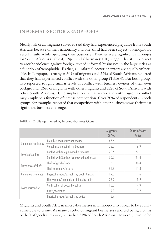# **INFORMAL-SECTOR XENOPHOBIA**

Nearly half of all migrants surveyed said they had experienced prejudice from South Africans because of their nationality and one-third had been subject to xenophobic verbal insults while operating their businesses. Neither were significant challenges for South Africans (Table 4). Piper and Charman (2016) suggest that it is incorrect to ascribe violence against foreign-owned informal businesses in the large cities as a function of xenophobia. Rather, all informal-sector operators are equally vulnerable. In Limpopo, as many as 30% of migrants and 22% of South Africans reported that they had experienced conflict with the other group (Table 4). But both groups also reported roughly similar levels of conflict with business owners of their own background (26% of migrants with other migrants and 22% of South Africans with other South Africans). One implication is that inter- and within-group conflict may simply be a function of intense competition. Over 70% of respondents in both groups, for example, reported that competition with other businesses was their most significant business challenge.

|                      |                                              | <b>Migrants</b><br>$%$ Yes | <b>South Africans</b><br>$%$ Yes |
|----------------------|----------------------------------------------|----------------------------|----------------------------------|
| Xenophobic attitudes | Prejudice against my nationality             | 47.6                       | 1.1                              |
|                      | Verbal insults against my business           | 35.3                       | 6.9                              |
| Levels of conflict   | Conflict with foreign-owned businesses       | 75.6                       | 22.1                             |
|                      | Conflict with South African-owned businesses | 30.2                       | 21.4                             |
| Prevalence of theft  | Theft of goods/stock                         | 38.3                       | 30.4                             |
|                      | Theft of money/income                        | 31.3                       | 11.8                             |
| Xenophobic violence  | Physical attacks/assaults by South Africans  | 19.0                       | 1.6                              |
| Police misconduct    | Harassment/demands for bribes by police      | 26.2                       | 3.9                              |
|                      | Confiscation of goods by police              | 18.8                       | 4.9                              |
|                      | Arrest/detention                             | 9.1                        | 1.2                              |
|                      | Physical attacks/assaults by police          | 8.7                        | 1.1                              |

TABLE 4: Challenges Faced by Informal-Business Owners

Migrants and South African micro-businesses in Limpopo also appear to be equally vulnerable to crime. As many as 38% of migrant businesses reported being victims of theft of goods and stock, but so had 31% of South Africans. However, it would be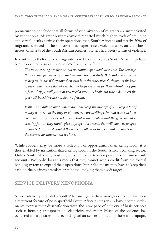premature to conclude that all forms of victimization of migrants are unmotivated by xenophobia. Migrant business owners reported much higher levels of prejudice and verbal insults against their operations than South Africans and nearly 20% of migrants surveyed in the six towns had experienced violent attacks on their businesses. Only 2% of the South African business owners had been victims of violence.

In contrast to theft of stock, migrants were twice as likely as South Africans to have been robbed of business income (26% versus 13%).

The most pressing problem is that we cannot open bank accounts. The law says *that we can open an account and we can work and study. But banks do not want to help us. It is as if they have their own laws that they use which are not the laws of the country.* T*ey do not even bother to give reasons for their refusal, they just*  refuse. They just tell you that you need a green ID book, but where do we get the *green ID book? We are not South Africans.* 

Without a bank account, where does one keep his money? If you keep a lot of *money with you in the shop or at home you are inviting criminals who will later come and rob you or even kill you.* T*at is the problem that the government is creating for us.* T*ey should give us proper documents that will allow us to open accounts. Or at least compel the banks to allow us to open bank accounts with the current documents that we have.* 

While robbery may be more a reflection of opportunism than xenophobia, it is thus enabled by institutionalized xenophobia in the South African banking sector. Unlike South Africans, most migrants are unable to open personal or business bank accounts. Not only does this mean that they cannot access credit from the formal banking system to expand their operations, but it also means they have to keep their cash on the business premises or at home, making them a soft target.

#### **SERVICE-DELIVERY XENOPHOBIA**

Service-delivery protests by South Africans against their own government have been a recurrent feature of post-apartheid South Africa as citizens in low-income settlements express their dissatisfaction with the slow pace of delivery of basic services such as housing, transportation, electricity and water. Much of the violence has occurred in large cities, but secondary urban centres, including those in Limpopo,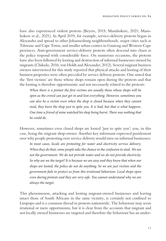have also experienced violent protests (Beyers, 2015; Mamhokere, 2021; Mamhokere et al., 2021). In April 2019, for example, service-delivery protests began in Alexandra and spread to other Johannesburg neighbourhoods, major cities such as Tshwane and Cape Town, and smaller urban centres in Gauteng and Western Cape provinces. Anti-government service-delivery protests often descend into chaos as the police respond with considerable force. On numerous occasions, the protests have also been followed by looting and destruction of informal businesses owned by migrants (Chikulo, 2016; von Holdt and Alexander, 2012). Several migrant business owners interviewed for this study reported that physical attacks and looting of their business properties were often preceded by service delivery protests. One noted that the 'first victims' are those whose shops remain open during the protests and that the looting is therefore opportunistic and not necessarily related to the protests:

*When there is a protest the* f*rst victims are usually those whose shops will be open as the crowd can just get in and loot everything. However, sometimes you can also be a victim even when the shop is closed because when they cannot steal, they burn the shop just to spite you. It is bad, but that is what happens. One time a friend of mine watched his shop being burnt. There was nothing that he could do.*

However, sometimes even closed shops are looted 'just to spite you'; you, in this case, being the migrant shop-owner. Another key informant expressed puzzlement over why people protesting over service delivery would turn on informal businesses:

*In most cases, locals are protesting for water and electricity service delivery. When they do that, some people take the chance in the confusion to steal. We are not the government. We do not provide water and we do not provide electricity. So why are we the target? It is because we are easy and they know that when our shops are looted, the police do not do anything. So we are just victims and the government fails to protect us from this irrational behaviour. Local shops open even during protests and they are very safe. You cannot understand why we are always the target.* 

This phenomenon, attacking and looting migrant-owned businesses and leaving intact those of South Africans in the same vicinity, is certainly not confined to Limpopo and is a common thread in protests nationwide. The behaviour may seem irrational or mere opportunism, but it is clear from the accounts that migrant and not locally owned businesses are targeted and therefore the behaviour has an under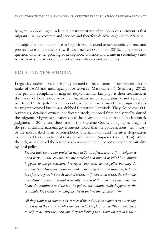lying xenophobic logic. Indeed, a persistent strain of xenophobic sentiment is that migrants use up resources and services and therefore disadvantage South Africans.

The abject failure of the police in large cities to respond to xenophobic violence and protect those under attack is well-documented (Steinberg, 2012). This raises the question of whether policing of xenophobic violence and crime in secondary cities is any more sympathetic and effective in smaller secondary centres.

### **POLICING XENOPHOBIA**

Large-city studies have consistently pointed to the existence of xenophobia in the ranks of SAPS and municipal police services (Masuku, 2006; Steinberg, 2012). The primary complaint of migrant respondents in Limpopo is their treatment at the hands of local police who they maintain are corrupt, abusive and xenophobic. In 2013, the police in Limpopo launched a province-wide campaign to shutter migrant-owned businesses, dubbed Operation Hardstick. They closed over 600 businesses, detained owners, confiscated stock, imposed fines and verbally abused the migrants. Migrant associations took the government to court and, in a landmark judgment in 2014, won their case in the Supreme Court. The judgment against the provincial and national governments noted that the police actions "tell a story of the most naked form of xenophobic discrimination and the utter desperation experienced by the victims of that discrimination" (Supreme Court, 2014). While the judgment allowed the businesses to re-open, it did not put an end to criminality by local police:

*We feel that we are not protected here in South Africa. It is as if a foreigner is not a person in this country. We are attacked and injured or killed but nothing happens to the perpetrators. We report our cases to the police but they do nothing. Sometimes they come and talk to us and give us case numbers, but that is as far as it goes. We rarely hear of arrest, or if there is an arrest, the criminals are released on bail and that is usually the end of it. There are times when we know the criminals and we tell the police, but nothing really happens to the criminals. We see them walking the streets and we are afraid of them.*

*All they want is to suppress us. It is as if their duty is to suppress us every day.*  That is what they do. The police are always looking for trouble. They are not here *to help. Whenever they stop you, they are looking to* f*nd out what fault is there*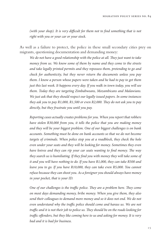*(with your shop). It is very di*f*cult for them not to* f*nd something that is not right with you or your car or your stock.*

As well as a failure to protect, the police in these small secondary cities prey on migrants, questioning documentation and demanding money:

*We do not have a good relationship with the police at all. They just want to take money from us. We know some of them by name and they come to the streets and take legally printed permits and they repossess them, pretending to go and check for authenticity, but they never return the documents unless you pay them. I know a person whose papers were taken and he had to pay to get them just this last week. It happens every day. If you walk in town today, you will see them. Today they are targeting Zimbabweans, Mozambicans and Malawians. We just ask that they should respect our legally issued papers. In some instances they ask you to pay R1,000, R1,500 or even R2,000. They do not ask you to pay directly, but they frustrate you until you pay.*

*Reporting cases actually creates problems for you. When you report that robbers have stolen R30,000 from you, it tells the police that you are making money and they will be your biggest problem. One of our biggest challenges is on bank accounts. Something must be done on bank accounts so that we do not become targets of criminals. When police stop you at a roadblock, they check the hole even under your seats and they will be looking for money. Sometimes they even have knives and they can rip your car seats wanting to* f*nd money.* T*e way they search us is humiliating. If they* f*nd you with money they will take some of it and you will have nothing to do. If you have R1,000, they can take R500 and leave you to go. If you have R10,000, they can take even R5,000. You cannot refuse because they can shoot you. As a foreigner you should always have money in your pocket, that is your ID.* 

*One of our challenges is the traffic police. They are a problem here. They come on most days demanding money, bribe money. When you give them, they also send their colleagues to demand more money and so it does not end. We do not even understand why the tra*f*c police should come and harass us. We are not tra*f*c and it is not their job to police us.* T*ey should be on the roads looking for tra*f*c o*f*enders, but they like coming here to us and asking for money. It is very bad and it is bad for business.*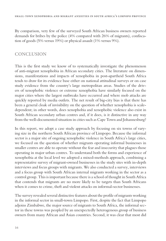By comparison, very few of the surveyed South African business owners reported demands for bribes by the police (4% compared with 26% of migrants), confiscation of goods (5% versus 19%) or physical assault (1% versus 9%).

### **CONCLUSION**

This is the first study we know of to systematically investigate the phenomenon of anti-migrant xenophobia in African secondary cities. The literature on dimensions, manifestations and impacts of xenophobia in post-apartheid South Africa tends to draw for its evidence base either on national attitudinal surveys or on case study evidence from the country's large metropolitan areas. Studies of the drivers of xenophobic violence or extreme xenophobia have similarly focused on the major cities where the largest outbreaks have occurred and where mob attacks are quickly reported by media outlets. The net result of big-city bias is that there has been a general cloak of invisibility on the question of whether xenophobia is scaledependent; in other words, does xenophobia and xenophobic violence also exist in South African secondary urban centres and, if it does, is it distinctive in any way from the well-documented situation in cities such as Cape Town and Johannesburg?

In this report, we adopt a case study approach by focusing on six towns of varying size in the northern South African province of Limpopo. Because the informal sector is a major site of ongoing xenophobic violence in South Africa's large cities, we focused on the question of whether migrants operating informal businesses in smaller centres are able to operate without the fear and insecurity that plagues those operating in major urban centres. To understand both the forms and experience of xenophobia at the local level we adopted a mixed-methods approach, combining a representative survey of migrant-owned businesses in the study sites with in-depth interviews and focus groups with migrants. We also conducted a survey, interviews and a focus group with South African internal migrants working in the sector as a control group. This is important because there is a school of thought in South Africa that contends that migrants are no more likely to be targets than South Africans when it comes to crime, theft and violent attacks on informal-sector businesses.

The survey revealed several distinctive features about the profile of migrants working in the informal sector in small-town Limpopo. First, despite the fact that Limpopo adjoins Zimbabwe, the major source of migrants to South Africa, the informal sector in these towns was peopled by an unexpectedly heterogenous group of business owners from many African and Asian countries. Second, it was clear that most did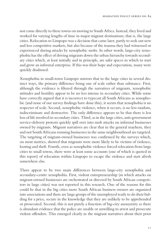not come directly to these towns on moving to South Africa. Instead, they lived and worked for varying lengths of time in major migrant destinations; that is, the large cities. Relocation to Limpopo was a decision that came later, partly to seek out new and less competitive markets, but also because of the trauma they had witnessed or experienced during attacks by xenophobic mobs. In other words, large-city xenophobia has the effect of driving migrants down the urban hierarchy towards secondary cities which, at least initially and in principle, are safer spaces in which to start and grow an informal enterprise. If this was their hope and expectation, many were quickly disabused.

Xenophobia in small-town Limpopo mirrors that in the large cities in several distinct ways, the primary difference being one of scale rather than substance. First, although the evidence is filtered through the narratives of migrants, xenophobic attitudes and hostility appear to be no less intense in secondary cities. While some have correctly argued that it is incorrect to typecast all South Africans as xenophobic (and none of our survey findings have done this), it seems that xenophobia is no respecter of scale. Second, xenophobic violence, when it occurs, is no less random, indiscriminate and destructive. The only difference appears to be that there is less loss of life involved in secondary cities. Third, as in the large cities, anti-government service-delivery protests quickly spill over into mob attacks on informal businesses owned by migrants. Migrant narratives are clear that in the general mayhem, they and not South Africans running businesses in the same neighbourhood are targeted. The targeting of migrant-owned businesses was confirmed by the surveys which, on most metrics, showed that migrants were more likely to be victims of violence, looting and theft. Fourth, even as xenophobic violence forced relocation from large cities to small towns, there were at least some accounts (one of which is quoted in this report) of relocation within Limpopo to escape the violence and start afresh somewhere else.

There appear to be two main differences between large-city xenophobia and secondary-centre xenophobia. First, violent entrepreneurship (in which attacks on migrant-owned businesses are orchestrated or directed by South African competitors in large cities) was not reported in this research. One of the reasons for this could be that in the big cities more South African business owners are organized into associations and there are large groups of the unemployed ready to do their bidding for a price, secure in the knowledge that they are unlikely to be apprehended or prosecuted. Second, this is not purely a function of big-city anonymity as there is abundant evidence that the police are unable or unwilling to arrest and prosecute violent offenders. This emerged clearly in the migrant narratives about their prior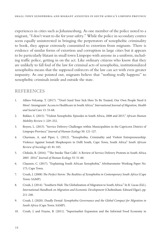experiences in cities such as Johannesburg. As one member of the police noted to a migrant, "I don't want to die for your safety." While the police in secondary centres seem equally uninterested in bringing the perpetrators of xenophobic criminality to book, they appear extremely committed to extortion from migrants. There is evidence of similar forms of extortion and corruption in large cities but it appears to be particularly blatant in small town Limpopo with anyone in a uniform, including traffic police, getting in on the act. Like ordinary citizens who know that they are unlikely to fall foul of the law for criminal acts of xenophobia, institutionalized xenophobia means that the supposed enforcers of the law can act with even greater impunity. As one pointed out, migrants believe that "nothing really happens" to xenophobic criminals inside and outside the state.

#### **REFERENCES**

- 1. Alfaro-Velcamp, T. (2017). "'Don't Send Your Sick Here To Be Treated, Our Own People Need it More': Immigrants' Access to Healthcare in South Africa." *International Journal of Migration, Health and Social Care* 13: 53-68.
- 2. Bekker, S. (2015). "Violent Xenophobic Episodes in South Africa, 2008 and 2015." *African Human Mobility Review* 1: 229–252.
- 3. Beyers, L. (2015). "Service Delivery Challenges within Municipalities in the Capricorn District of Limpopo Province." *Journal of Human Ecology* 50: 121-127.
- 4. Charman, A. and Piper, L. (2012). "Xenophobia, Criminality and Violent Entrepreneurship: Violence Against Somali Shopkeepers in Delf South, Cape Town, South Africa" *South African Review of Sociology* 43: 81-105.
- 5. Chikulo, B. (2016). "'Te Smoke Tat Calls': A Review of Service Delivery Protests in South Africa 2005 -2014." *Journal of Human Ecology* 55: 51-60.
- 6. Claassen, C. (2017). "Explaining South African Xenophobia." Afrobarometer Working Paper No. 173, Cape Town.
- 7. Crush, J. (2008) T*e Perfect Storm:* T*e Realities of Xenophobia in Contemporary South Africa* (Cape Town: SAMP).
- 8. Crush, J. (2014). "Southern Hub: The Globalization of Migration to South Africa." In R. Lucas (Ed.), *International Handbook on Migration and Economic Development* (Cheltenham: Edward Elgar), pp. 211-240.
- 9. Crush, J. (2020). *Deadly Denial: Xenophobia Governance and the Global Compact for Migration in South Africa* (Cape Town: SAMP).
- 10. Crush, J. and Frayne, B. (2011). "Supermarket Expansion and the Informal Food Economy in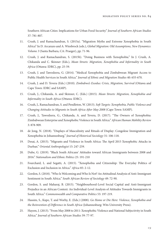Southern African Cities: Implications for Urban Food Security." *Journal of Southern African Studies*  37: 781-807.

- 11. Crush, J. and Ramachandran, S. (2015a). "Migration Myths and Extreme Xenophobia in South Africa" In D. Arcarazo and A. Wiesbrock (eds.), *Global Migration: Old Assumptions, New Dynamics: Volume 3* (Santa Barbara, CA: Praeger), pp. 71-96.
- 12. Crush, J. and Ramachandran, S. (2015b). "Doing Business with Xenophobia." In J. Crush, A. Chikanda and C. Skinner (Eds.), *Mean Streets: Migration, Xenophobia and Informality in South Africa* (Ottawa: IDRC), pp. 25-59.
- 13. Crush, J. and Tawodzera, G. (2014). "Medical Xenophobia and Zimbabwean Migrant Access to Public Health Services in South Africa." *Journal of Ethnic and Migration Studies* 40: 655-670.
- 14. Crush, J. and D. Tevera (Eds.) (2010). *Zimbabwe's Exodus: Crisis, Migration, Survival* (Ottawa and Cape Town: IDRC and SAMP).
- 15. Crush, J., Chikanda, A. and Skinner, C. (Eds.) (2015). *Mean Streets: Migration, Xenophobia and Informality in South Africa* (Ottawa: IDRC).
- 16. Crush, J., Ramachandran, S. and Pendleton, W. (2013). *So*f *Targets: Xenophobia, Public Violence and Changing Attitudes to Migrants in South Africa A*f*er May 2008* (Cape Town: SAMP).
- 17. Crush, J., Tawodzera, G., Chikanda, A. and Tevera, D. (2017). "The Owners of Xenophobia: Zimbabwean Enterprise and Xenophobic Violence in South Africa." *African Human Mobility Review* 3: 878-909.
- 18. de Jong, N. (2018). "Displays of Masculinity and Rituals of Display: Congolese Immigration and Xenophobia in Johannesburg." *Journal of Historical Sociology* 31: 106-118.
- 19. Desai, A. (2015). "Migrants and Violence in South Africa: The April 2015 Xenophobic Attacks in Durban." *Oriental Anthropologist* 15: 247-259.
- 20. Dube, G. (2019). "Black South Africans' Attitudes toward African Immigrants between 2008 and 2016." *Nationalism and Ethnic Politics* 25: 191-210
- 21. Fourchard, L. and Segatti, A. (2015). "Xenophobia and Citizenship: The Everyday Politics of Exclusion and Inclusion in Africa." *Africa* 85: 2-12.
- 22. Gordon, S. (2018). "Who Is Welcoming and Who Is Not? An Attitudinal Analysis of Anti-Immigrant Sentiment in South Africa." *South African Review of Sociology* 49: 72-90.
- 23. Gordon, S. and Maharaj, B. (2015). "Neighbourhood-Level Social Capital and Anti-Immigrant Prejudice in an African Context: An Individual-Level Analysis of Attitudes Towards Immigrants in South Africa." *Commonwealth and Comparative Politics* 53: 197-219.
- 24. Hassim, S., Kupe, T. and Worby, E. (Eds.) (2008). *Go Home or Die Here: Violence, Xenophobia and the Reinvention of Di*f*erence in South Africa* (Johannesburg: Wits University Press).
- 25. Hayem, J. (2013). "From May 2008 to 2011: Xenophobic Violence and National Subjectivity in South Africa." *Journal of Southern African Studies* 39: 77-97.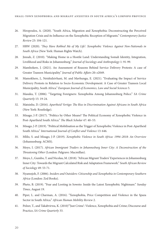- 26. Hiropoulos, A. (2020). "South Africa, Migration and Xenophobia: Deconstructing the Perceived Migration Crisis and its Infuence on the Xenophobic Reception of Migrants." *Contemporary Justice Review* 23: 104-121.
- 27. HRW (2020). *'*T*ey Have Robbed Me of My Life': Xenophobic Violence Against Non-Nationals in South Africa* (New York: Human Rights Watch).
- 28. Jinnah, Z. (2010). "Making Home in a Hostile Land: Understanding Somali Identity, Integration, Livelihood and Risks in Johannesburg." *Journal of Sociology and Anthropology* 1: 91-99.
- 29. Mamhokere, J. (2021). An Assessment of Reasons Behind Service Delivery Protests: A case of Greater Tzaneen Municipality." *Journal of Public A*f*airs* 20: e2049.
- 30. Mamokhere, J., Netshidzivhani, M. and Mavhungu, E. (2021). "Evaluating the Impact of Service Delivery Protests in Relation to Socio-Economic Development: A Case of Greater Tzaneen Local Municipality, South Africa." *European Journal of Economics, Law and Social Sciences* 5.
- 31. Masuku, T. (2006). "Targeting Foreigners: Xenophobia Among Johannesburg Police." *SA Crime Quarterly* 15: 19-24.
- 32. Matsinhe, D. (2016). *Apartheid Vertigo:* T*e Rise in Discrimination Against Africans in South Africa*  (New York: Routledge).
- 33. Misago, J-P. (2017). "Politics by Other Means? Te Political Economy of Xenophobic Violence in Post-Apartheid South Africa." The Black Scholar 47: 40-53.
- 34. Misago, J-P. (2019). "Political Mobilisation as the Trigger of Xenophobic Violence in Post-Apartheid South Africa." *International Journal of Con*f*ict and Violence* 13: 646.
- 35. Mlilo, S. and Misago, J-P. (2019). *Xenophobic Violence in South Africa: 1994–2018: An Overview*  (Johannesburg: ACMS).
- 36. Moyo, I. (2017). *African Immigrant Traders in Johannesburg Inner City: A Deconstruction of the*  T*reatening Other* (London: Palgrave: Macmillan).
- 37. Moyo, I., Gumbo, T. and Nicolau, M. (2018). "African Migrant Traders' Experiences in Johannesburg Inner City: Towards the Migrant Calculated Risk and Adaptation Framework." *South African Review of Sociology* 49: 53-71.
- 38. Nyamnjoh, F. (2006). *Insiders and Outsiders: Citizenship and Xenophobia in Contemporary Southern Africa* (London: Zed Books).
- 39. Pheto, B. (2019). "Fear and Looting in Soweto: Inside the Latest Xenophobic Nightmare." *Sunday Times*, August 19.
- 40. Piper, L. and Charman, A. (2016). "Xenophobia, Price Competition and Violence in the Spaza Sector in South Africa." *African Human Mobility Review* 2.
- 41. Polzer, T., and Takabvirwa, K. (2010)"'Just Crime': Violence, Xenophobia and Crime; Discourse and Practice, *SA Crime Quarterly* 33.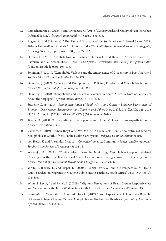- 42. Ramachandran, S., Crush, J. and Tawodzera, G. (2017). "Security Risk and Xenophobia in the Urban Informal Sector." *African Human Mobility Review* 3: 855-878.
- 43. Rogan, M. and Skinner, C. "Te Size and Structure of the South African Informal Sector 2008- 2014: A Labour-Force Analysis." In F. Fourie (Ed.), T*e South African Informal Sector: Creating Jobs, Reducing Poverty* (Cape Town: HSRC), pp. 77-102.
- 44. Skinner, C. (2019). "Contributing Yet Excluded? Informal Food Retail in African Cities." In J. Battersby and V. Watson (Eds.), *Urban Food Systems Governance and Poverty in African Cities*  (London: Routledge), pp. 104-115.
- 45. Solomon, R. (2019). "Xenophobic Violence and the Ambivalence of Citizenship in Post-Apartheid South Africa." *Citizenship Studies* 23: 156-171
- 46. Steinberg, J. (2012). "Security and Disappointment: Policing, Freedom and Xenophobia in South Africa." *British Journal of Criminology* 52: 345-360.
- 47. Steinberg, J. (2018). "Xenophobia and Collective Violence in South Africa: A Note of Scepticism About the Scapegoat." *African Studies Review* 61: 119-134.
- 48. Supreme Court (2014). *Somali Association of South Africa and Others v Limpopo Department of Economic Development Environment and Tourism and Others* (48/2014) [2014] ZASCA 143; 2015 (1) SA 151 (SCA); [2014] 4 All SA 600 (SCA) (26 September 2014).
- 49. Tevera, D. (2013). "African Migrants, Xenophobia and Urban Violence in Post-Apartheid South Africa." *Alternation* 7: 9-26.
- 50. Vanyoro, K. (2019). "When They Come, We Don't Send Them Back': Counter-Narratives of 'Medical Xenophobia' in South Africa's Public Health Care System." *Palgrave Communications* 5: 101.
- 51. von Holdt, K. and Alexander, P. (2012). "Collective Violence, Community Protest and Xenophobia." *South African Review of Sociology* 43: 104-111.
- 52. Waiganjo, A. (2018). "Coping Mechanisms in Navigating Xenophobia-Afrophobia-Related Challenges Within the Transnational Space: Case of Somali Refugee Women in Gauteng, South Africa." *Journal of International Migration and Integration* 19: 649-666.
- 53. White, J., Blaauw, D. and Rispel, L. (2020a). "Social Exclusion and the Perspectives of Health Care Providers on Migrants in Gauteng Public Health Facilities, South Africa." *PLoS One*, 15(12): e0244080.
- 54. White, J., Levin, J. and Rispel, L. (2020b). "Migrants' Perceptions of Health System Responsiveness and Satisfaction with Health Workers in a South African Province. " *Global Health Action* 13.
- 55. Zihindula, G., Meyer-Weitz, A. and Akintola, O. (2017). "Lived Experiences of Democratic Republic of Congo Refugees Facing Medical Xenophobia in Durban, South Africa." *Journal of Asian and African Studies* 52: 458–470.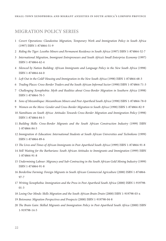#### **MIGRATION POLICY SERIES**

- 1 *Covert Operations: Clandestine Migration, Temporary Work and Immigration Policy in South Africa* (1997) ISBN 1-874864-51-9
- 2 *Riding the Tiger: Lesotho Miners and Permanent Residence in South Africa* (1997) ISBN 1-874864-52-7
- 3 *International Migration, Immigrant Entrepreneurs and South Africa's Small Enterprise Economy* (1997) ISBN 1-874864-62-4
- 4 *Silenced by Nation Building: African Immigrants and Language Policy in the New South Africa* (1998) ISBN 1-874864-64-0
- 5 *Le*f *Out in the Cold? Housing and Immigration in the New South Africa* (1998) ISBN 1-874864-68-3
- 6 *Trading Places: Cross-Border Traders and the South African Informal Sector* (1998) ISBN 1-874864-71-3
- 7 *Challenging Xenophobia: Myth and Realities about Cross-Border Migration in Southern Africa* (1998) ISBN 1-874864-70-5
- 8 *Sons of Mozambique: Mozambican Miners and Post-Apartheid South Africa* (1998) ISBN 1-874864-78-0
- 9 *Women on the Move: Gender and Cross-Border Migration to South Africa* (1998) ISBN 1-874864-82-9
- 10 *Namibians on South Africa: Attitudes Towards Cross-Border Migration and Immigration Policy* (1998) ISBN 1-874864-84-5
- 11 *Building Skills: Cross-Border Migrants and the South African Construction Industry* (1999) ISBN 1-874864-84-5
- 12 *Immigration & Education: International Students at South African Universities and Technikons* (1999) ISBN 1-874864-89-6
- 13 T*e Lives and Times of African Immigrants in Post-Apartheid South Africa* (1999) ISBN 1-874864-91-8
- 14 *Still Waiting for the Barbarians: South African Attitudes to Immigrants and Immigration* (1999) ISBN 1-874864-91-8
- 15 *Undermining Labour: Migrancy and Sub-Contracting in the South African Gold Mining Industry* (1999) ISBN 1-874864-91-8
- 16 *Borderline Farming: Foreign Migrants in South African Commercial Agriculture* (2000) ISBN 1-874864- 97-7
- 17 *Writing Xenophobia: Immigration and the Press in Post-Apartheid South Africa* (2000) ISBN 1-919798- 01-3
- 18 *Losing Our Minds: Skills Migration and the South African Brain Drain* (2000) ISBN 1-919798-03-x
- 19 *Botswana: Migration Perspectives and Prospects* (2000) ISBN 1-919798-04-8
- 20 T*e Brain Gain: Skilled Migrants and Immigration Policy in Post-Apartheid South Africa* (2000) ISBN 1-919798-14-5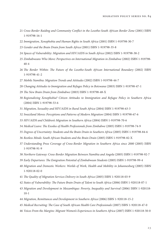- *Cross-Border Raiding and Community Con*f*ict in the Lesotho-South African Border Zone* (2001) ISBN 1-919798-16-1
- *Immigration, Xenophobia and Human Rights in South Africa* (2001) ISBN 1-919798-30-7
- *Gender and the Brain Drain from South Africa* (2001) ISBN 1-919798-35-8
- *Spaces of Vulnerability: Migration and HIV/AIDS in South Africa* (2002) ISBN 1-919798-38-2
- *Zimbabweans Who Move: Perspectives on International Migration in Zimbabwe* (2002) ISBN 1-919798- 40-4
- T*e Border Within:* T*e Future of the Lesotho-South African International Boundary* (2002) ISBN 1-919798-41-2
- *Mobile Namibia: Migration Trends and Attitudes* (2002) ISBN 1-919798-44-7
- *Changing Attitudes to Immigration and Refugee Policy in Botswana* (2003) ISBN 1-919798-47-1
- T*e New Brain Drain from Zimbabwe* (2003) ISBN 1-919798-48-X
- *Regionalizing Xenophobia? Citizen Attitudes to Immigration and Refugee Policy in Southern Africa*  (2004) ISBN 1-919798-53-6
- *Migration, Sexuality and HIV/AIDS in Rural South Africa* (2004) ISBN 1-919798-63-3
- *Swaziland Moves: Perceptions and Patterns of Modern Migration* (2004) ISBN 1-919798-67-6
- *HIV/AIDS and Children's Migration in Southern Africa* (2004) ISBN 1-919798-70-6
- *Medical Leave:* T*e Exodus of Health Professionals from Zimbabwe* (2005) ISBN 1-919798-74-9
- *Degrees of Uncertainty: Students and the Brain Drain in Southern Africa* (2005) ISBN 1-919798-84-6
- *Restless Minds: South African Students and the Brain Drain* (2005) ISBN 1-919798-82-X
- *Understanding Press Coverage of Cross-Border Migration in Southern Africa since 2000* (2005) ISBN 1-919798-91-9
- *Northern Gateway: Cross-Border Migration Between Namibia and Angola* (2005) ISBN 1-919798-92-7
- *Early Departures:* T*e Emigration Potential of Zimbabwean Students* (2005) ISBN 1-919798-99-4
- *Migration and Domestic Workers: Worlds of Work, Health and Mobility in Johannesburg* (2005) ISBN 1-920118-02-0
- T*e Quality of Migration Services Delivery in South Africa* (2005) ISBN 1-920118-03-9
- *States of Vulnerability:* T*e Future Brain Drain of Talent to South Africa* (2006) ISBN 1-920118-07-1
- *Migration and Development in Mozambique: Poverty, Inequality and Survival* (2006) ISBN 1-920118-10-1
- *Migration, Remittances and Development in Southern Africa* (2006) ISBN 1-920118-15-2
- *Medical Recruiting:* T*e Case of South African Health Care Professionals* (2007) ISBN 1-920118-47-0
- *Voices From the Margins: Migrant Women's Experiences in Southern Africa* (2007) ISBN 1-920118-50-0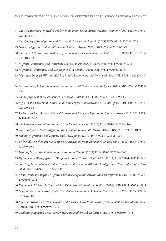- T*e Haemorrhage of Health Professionals From South Africa: Medical Opinions* (2007) ISBN 978-1- 920118-63-1
- T*e Quality of Immigration and Citizenship Services in Namibia* (2008) ISBN 978-1-920118-67-9
- *Gender, Migration and Remittances in Southern Africa* (2008) ISBN 978-1-920118-70-9
- T*e Perfect Storm:* T*e Realities of Xenophobia in Contemporary South Africa* (2008) ISBN 978-1- 920118-71-6
- *Migrant Remittances and Household Survival in Zimbabwe* (2009) ISBN 978-1-920118-92-1
- *Migration, Remittances and 'Development' in Lesotho* (2010) ISBN 978-1-920409-26-5
- *Migration-Induced HIV and AIDS in Rural Mozambique and Swaziland* (2011) ISBN 978-1-920409-49-
- *Medical Xenophobia: Zimbabwean Access to Health Services in South Africa* (2011) ISBN 978-1-920409- 63-0
- T*e Engagement of the Zimbabwean Medical Diaspora* (2011) ISBN 978-1-920409-64-7
- *Right to the Classroom: Educational Barriers for Zimbabweans in South Africa* (2011) ISBN 978-1- 920409-68-5
- *Patients Without Borders: Medical Tourism and Medical Migration in Southern Africa* (2012) ISBN 978- 1-920409-74-6
- T*e Disengagement of the South African Medical Diaspora* (2012) ISBN 978-1-920596-00-2
- T*e* T*ird Wave: Mixed Migration from Zimbabwe to South Africa* (2012) ISBN 978-1-920596-01-9
- *Linking Migration, Food Security and Development* (2012) ISBN 978-1-920596-02-6
- *Unfriendly Neighbours: Contemporary Migration from Zimbabwe to Botswana* (2012) ISBN 978-1- 920596-16-3
- *Heading North:* T*e Zimbabwean Diaspora in Canada* (2012) ISBN 978-1-920596-03-3
- *Dystopia and Disengagement: Diaspora Attitudes Towards South Africa* (2012) ISBN 978-1-920596-04-0
- *So*f *Targets: Xenophobia, Public Violence and Changing Attitudes to Migrants in South Africa a*f*er May*  (2013) ISBN 978-1-920596-05-7
- *Brain Drain and Regain: Migration Behaviour of South African Medical Professionals* (2014) ISBN 978- 1-920596-07-1
- *Xenophobic Violence in South Africa: Denialism, Minimalism, Realism* (2014) ISBN 978-1-920596-08-8
- *Migrant Entrepreneurship Collective Violence and Xenophobia in South Africa* (2014) ISBN 978-1- 920596-09-5
- *Informal Migrant Entrepreneurship and Inclusive Growth in South Africa, Zimbabwe and Mozambique* (2015) ISBN 978-1-920596-10-1
- *Calibrating Informal Cross-Border Trade in Southern Africa* (2015) ISBN 978-1-920596-13-2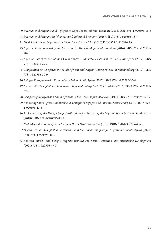- *International Migrants and Refugees in Cape Town's Informal Economy* (2016) ISBN 978-1-920596-15-6
- *International Migrants in Johannesburg's Informal Economy* (2016) ISBN 978-1-920596-18-7
- *Food Remittances: Migration and Food Security in Africa* (2016) ISBN 978-1-920596-19-4
- *Informal Entrepreneurship and Cross-Border Trade in Maputo, Mozambique* (2016) ISBN 978-1-920596- 20-0
- *Informal Entrepreneurship and Cross-Border Trade between Zimbabwe and South Africa* (2017) ISBN 978-1-920596-29-3
- *Competition or Co-operation? South African and Migrant Entrepreneurs in Johannesburg* (2017) ISBN 978-1-920596-30-9
- *Refugee Entrepreneurial Economies in Urban South Africa* (2017) ISBN 978-1-920596-35-4
- *Living With Xenophobia: Zimbabwean Informal Enterprise in South Africa* (2017) ISBN 978-1-920596- 37-8
- *Comparing Refugees and South Africans in the Urban Informal Sector* (2017) ISBN 978-1-920596-38-5
- *Rendering South Africa Undesirable: A Critique of Refugee and Informal Sector Policy* (2017) ISBN 978- 1-920596-40-8
- *Problematizing the Foreign Shop: Justi*f*cations for Restricting the Migrant Spaza Sector in South Africa*  (2018) ISBN 978-1-920596-43-9
- *Rethinking the South African Medical Brain Drain Narrative* (2019) ISBN 978-1-920596-45-3
- *Deadly Denial: Xenophobia Governance and the Global Compact for Migration in South Africa* (2020) ISBN 978-1-920596-46-0
- *Between Burden and Bene*f*t: Migrant Remittances, Social Protection and Sustainable Development*  (2021) 978-1-920596-47-7